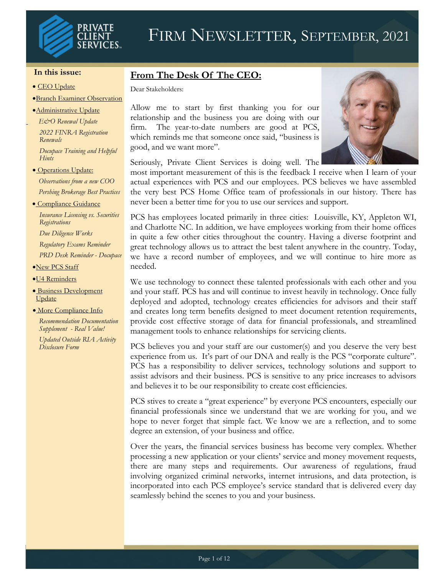

#### **In this issue:**

- CEO Update
- •Branch Examiner Observation
- •Administrative Update
- *E&O Renewal Update 2022 FINRA Registration Renewals*

*Docupace Training and Helpful Hints*

• Operations Update:

*Observations from a new COO Pershing Brokerage Best Practices*

• Compliance Guidance

*Insurance Licensing vs. Securities Registrations*

*Due Diligence Works Regulatory Exams Reminder PRD Desk Reminder - Docupace*

- •New PCS Staff
- •U4 Reminders
- Business Development Update
- More Compliance Info

*Recommendation Documentation Supplement - Real Value!*

*Updated Outside RIA Activity Disclosure Form*

## **From The Desk Of The CEO:**

Dear Stakeholders:

Allow me to start by first thanking you for our relationship and the business you are doing with our firm. The year-to-date numbers are good at PCS, which reminds me that someone once said, "business is good, and we want more".



Seriously, Private Client Services is doing well. The

most important measurement of this is the feedback I receive when I learn of your actual experiences with PCS and our employees. PCS believes we have assembled the very best PCS Home Office team of professionals in our history. There has never been a better time for you to use our services and support.

PCS has employees located primarily in three cities: Louisville, KY, Appleton WI, and Charlotte NC. In addition, we have employees working from their home offices in quite a few other cities throughout the country. Having a diverse footprint and great technology allows us to attract the best talent anywhere in the country. Today, we have a record number of employees, and we will continue to hire more as needed.

We use technology to connect these talented professionals with each other and you and your staff. PCS has and will continue to invest heavily in technology. Once fully deployed and adopted, technology creates efficiencies for advisors and their staff and creates long term benefits designed to meet document retention requirements, provide cost effective storage of data for financial professionals, and streamlined management tools to enhance relationships for servicing clients.

PCS believes you and your staff are our customer(s) and you deserve the very best experience from us. It's part of our DNA and really is the PCS "corporate culture". PCS has a responsibility to deliver services, technology solutions and support to assist advisors and their business. PCS is sensitive to any price increases to advisors and believes it to be our responsibility to create cost efficiencies.

PCS stives to create a "great experience" by everyone PCS encounters, especially our financial professionals since we understand that we are working for you, and we hope to never forget that simple fact. We know we are a reflection, and to some degree an extension, of your business and office.

Over the years, the financial services business has become very complex. Whether processing a new application or your clients' service and money movement requests, there are many steps and requirements. Our awareness of regulations, fraud involving organized criminal networks, internet intrusions, and data protection, is incorporated into each PCS employee's service standard that is delivered every day seamlessly behind the scenes to you and your business.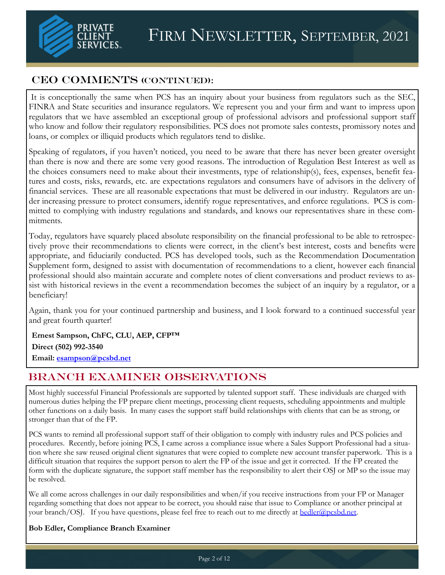

## CEO COMMENTS (CONTINUED):

It is conceptionally the same when PCS has an inquiry about your business from regulators such as the SEC FINRA and State securities and insurance regulators. We represent you and your firm and want to impress upon regulators that we have assembled an exceptional group of professional advisors and professional support staff who know and follow their regulatory responsibilities. PCS does not promote sales contests, promissory notes and loans, or complex or illiquid products which regulators tend to dislike.

Speaking of regulators, if you haven't noticed, you need to be aware that there has never been greater oversight than there is now and there are some very good reasons. The introduction of Regulation Best Interest as well as the choices consumers need to make about their investments, type of relationship(s), fees, expenses, benefit features and costs, risks, rewards, etc. are expectations regulators and consumers have of advisors in the delivery of financial services. These are all reasonable expectations that must be delivered in our industry. Regulators are under increasing pressure to protect consumers, identify rogue representatives, and enforce regulations. PCS is committed to complying with industry regulations and standards, and knows our representatives share in these commitments.

Today, regulators have squarely placed absolute responsibility on the financial professional to be able to retrospectively prove their recommendations to clients were correct, in the client's best interest, costs and benefits were appropriate, and fiduciarily conducted. PCS has developed tools, such as the Recommendation Documentation Supplement form, designed to assist with documentation of recommendations to a client, however each financial professional should also maintain accurate and complete notes of client conversations and product reviews to assist with historical reviews in the event a recommendation becomes the subject of an inquiry by a regulator, or a beneficiary!

Again, thank you for your continued partnership and business, and I look forward to a continued successful year and great fourth quarter!

**Ernest Sampson, ChFC, CLU, AEP, CFP™ Direct (502) 992-3540**

**Email: [esampson@pcsbd.net](mailto:esampson@pcsbd.net)**

## Branch Examiner Observations

Most highly successful Financial Professionals are supported by talented support staff. These individuals are charged with numerous duties helping the FP prepare client meetings, processing client requests, scheduling appointments and multiple other functions on a daily basis. In many cases the support staff build relationships with clients that can be as strong, or stronger than that of the FP.

PCS wants to remind all professional support staff of their obligation to comply with industry rules and PCS policies and procedures. Recently, before joining PCS, I came across a compliance issue where a Sales Support Professional had a situation where she saw reused original client signatures that were copied to complete new account transfer paperwork. This is a difficult situation that requires the support person to alert the FP of the issue and get it corrected. If the FP created the form with the duplicate signature, the support staff member has the responsibility to alert their OSJ or MP so the issue may be resolved.

We all come across challenges in our daily responsibilities and when/if you receive instructions from your FP or Manager regarding something that does not appear to be correct, you should raise that issue to Compliance or another principal at your branch/OSJ. If you have questions, please feel free to reach out to me directly at [bedler@pcsbd.net.](mailto:bedler@pcsbd.net)

#### **Bob Edler, Compliance Branch Examiner**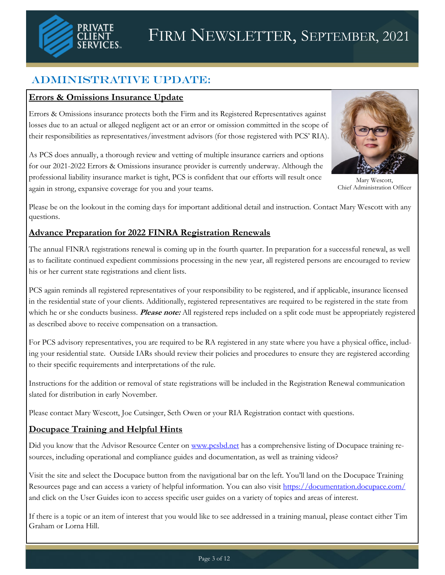

# Administrative Update:

## **Errors & Omissions Insurance Update**

Errors & Omissions insurance protects both the Firm and its Registered Representatives against losses due to an actual or alleged negligent act or an error or omission committed in the scope of their responsibilities as representatives/investment advisors (for those registered with PCS' RIA).

As PCS does annually, a thorough review and vetting of multiple insurance carriers and options for our 2021-2022 Errors & Omissions insurance provider is currently underway. Although the professional liability insurance market is tight, PCS is confident that our efforts will result once again in strong, expansive coverage for you and your teams.



Mary Wescott, Chief Administration Officer

Please be on the lookout in the coming days for important additional detail and instruction. Contact Mary Wescott with any questions.

## **Advance Preparation for 2022 FINRA Registration Renewals**

The annual FINRA registrations renewal is coming up in the fourth quarter. In preparation for a successful renewal, as well as to facilitate continued expedient commissions processing in the new year, all registered persons are encouraged to review his or her current state registrations and client lists.

PCS again reminds all registered representatives of your responsibility to be registered, and if applicable, insurance licensed in the residential state of your clients. Additionally, registered representatives are required to be registered in the state from which he or she conducts business. **Please note:** All registered reps included on a split code must be appropriately registered as described above to receive compensation on a transaction.

For PCS advisory representatives, you are required to be RA registered in any state where you have a physical office, including your residential state. Outside IARs should review their policies and procedures to ensure they are registered according to their specific requirements and interpretations of the rule.

Instructions for the addition or removal of state registrations will be included in the Registration Renewal communication slated for distribution in early November.

Please contact Mary Wescott, Joe Cutsinger, Seth Owen or your RIA Registration contact with questions.

## **Docupace Training and Helpful Hints**

Did you know that the Advisor Resource Center on [www.pcsbd.net](http://www.pcsbd.net) has a comprehensive listing of Docupace training resources, including operational and compliance guides and documentation, as well as training videos?

Visit the site and select the Docupace button from the navigational bar on the left. You'll land on the Docupace Training Resources page and can access a variety of helpful information. You can also visit <https://documentation.docupace.com/> and click on the User Guides icon to access specific user guides on a variety of topics and areas of interest.

If there is a topic or an item of interest that you would like to see addressed in a training manual, please contact either Tim Graham or Lorna Hill.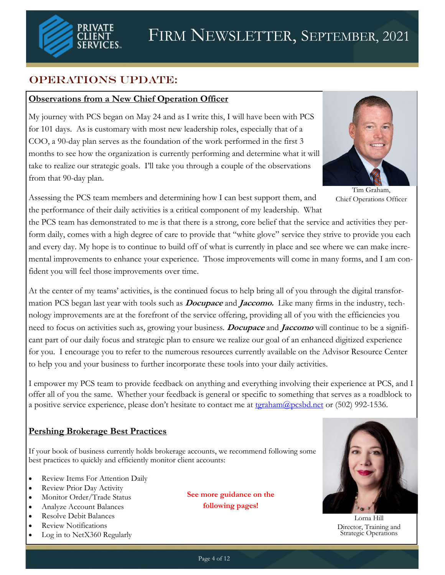

# OPERATIONS UPDATE:

#### **Observations from a New Chief Operation Officer**

My journey with PCS began on May 24 and as I write this, I will have been with PCS for 101 days. As is customary with most new leadership roles, especially that of a COO, a 90-day plan serves as the foundation of the work performed in the first 3 months to see how the organization is currently performing and determine what it will take to realize our strategic goals. I'll take you through a couple of the observations from that 90-day plan.



Tim Graham, Chief Operations Officer

Assessing the PCS team members and determining how I can best support them, and the performance of their daily activities is a critical component of my leadership. What

the PCS team has demonstrated to me is that there is a strong, core belief that the service and activities they perform daily, comes with a high degree of care to provide that "white glove" service they strive to provide you each and every day. My hope is to continue to build off of what is currently in place and see where we can make incremental improvements to enhance your experience. Those improvements will come in many forms, and I am confident you will feel those improvements over time.

At the center of my teams' activities, is the continued focus to help bring all of you through the digital transformation PCS began last year with tools such as **Docupace** and **Jaccomo.** Like many firms in the industry, technology improvements are at the forefront of the service offering, providing all of you with the efficiencies you need to focus on activities such as, growing your business. **Docupace** and **Jaccomo** will continue to be a significant part of our daily focus and strategic plan to ensure we realize our goal of an enhanced digitized experience for you. I encourage you to refer to the numerous resources currently available on the Advisor Resource Center to help you and your business to further incorporate these tools into your daily activities.

I empower my PCS team to provide feedback on anything and everything involving their experience at PCS, and I offer all of you the same. Whether your feedback is general or specific to something that serves as a roadblock to a positive service experience, please don't hesitate to contact me at teraham@pcsbd.net or (502) 992-1536.

## **Pershing Brokerage Best Practices**

If your book of business currently holds brokerage accounts, we recommend following some best practices to quickly and efficiently monitor client accounts:

- Review Items For Attention Daily
- Review Prior Day Activity
- Monitor Order/Trade Status
- Analyze Account Balances
- Resolve Debit Balances
- Review Notifications
- Log in to NetX360 Regularly

**See more guidance on the following pages!**



Lorna Hill Director, Training and Strategic Operations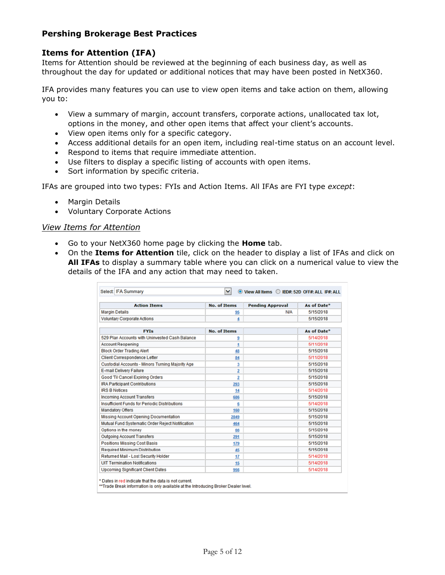#### **Pershing Brokerage Best Practices**

#### **Items for Attention (IFA)**

Items for Attention should be reviewed at the beginning of each business day, as well as throughout the day for updated or additional notices that may have been posted in NetX360.

IFA provides many features you can use to view open items and take action on them, allowing you to:

- View a summary of margin, account transfers, corporate actions, unallocated tax lot, options in the money, and other open items that affect your client's accounts.
- View open items only for a specific category.
- Access additional details for an open item, including real-time status on an account level.
- Respond to items that require immediate attention.
- Use filters to display a specific listing of accounts with open items.
- Sort information by specific criteria.

IFAs are grouped into two types: FYIs and Action Items. All IFAs are FYI type *except*:

- Margin Details
- Voluntary Corporate Actions

#### *View Items for Attention*

- Go to your NetX360 home page by clicking the **Home** tab.
- On the **Items for Attention** tile, click on the header to display a list of IFAs and click on **All IFAs** to display a summary table where you can click on a numerical value to view the details of the IFA and any action that may need to taken.

| <b>Action Items</b>                                  | <b>No. of Items</b> | <b>Pending Approval</b> | As of Date* |
|------------------------------------------------------|---------------------|-------------------------|-------------|
| <b>Margin Details</b>                                | 95                  | <b>N/A</b>              | 5/15/2018   |
| <b>Voluntary Corporate Actions</b>                   | 4                   |                         | 5/15/2018   |
| <b>FYIs</b>                                          | <b>No. of Items</b> |                         | As of Date* |
| 529 Plan Accounts with Uninvested Cash Balance       | 9                   |                         | 5/14/2018   |
| <b>Account Reopening</b>                             | 1                   |                         | 5/11/2018   |
| <b>Block Order Trading Alert</b>                     | 48                  |                         | 5/15/2018   |
| <b>Client Correspondence Letter</b>                  | 84                  |                         | 5/11/2018   |
| Custodial Accounts - Minors Turning Majority Age     | 3                   |                         | 5/15/2018   |
| <b>E-mail Delivery Failure</b>                       | 2                   |                         | 5/15/2018   |
| Good 'Til Cancel Expiring Orders                     | 2                   |                         | 5/15/2018   |
| <b>IRA Participant Contributions</b>                 | 293                 |                         | 5/15/2018   |
| <b>IRS B Notices</b>                                 | 14                  |                         | 5/14/2018   |
| <b>Incoming Account Transfers</b>                    | 686                 |                         | 5/15/2018   |
| <b>Insufficient Funds for Periodic Distributions</b> | 6                   |                         | 5/14/2018   |
| <b>Mandatory Offers</b>                              | 160                 |                         | 5/15/2018   |
| Missing Account Opening Documentation                | 2849                |                         | 5/15/2018   |
| Mutual Fund Systematic Order Reiect Notification     | 464                 |                         | 5/15/2018   |
| Options in the money                                 | 66                  |                         | 5/15/2018   |
| <b>Outgoing Account Transfers</b>                    | 291                 |                         | 5/15/2018   |
| <b>Positions Missing Cost Basis</b>                  | 179                 |                         | 5/15/2018   |
| <b>Required Minimum Distribution</b>                 | 45                  |                         | 5/15/2018   |
| Returned Mail - Lost Security Holder                 | 17                  |                         | 5/14/2018   |
| <b>UIT Termination Notifications</b>                 | 15                  |                         | 5/14/2018   |
| <b>Upcoming Significant Client Dates</b>             | 956                 |                         | 5/14/2018   |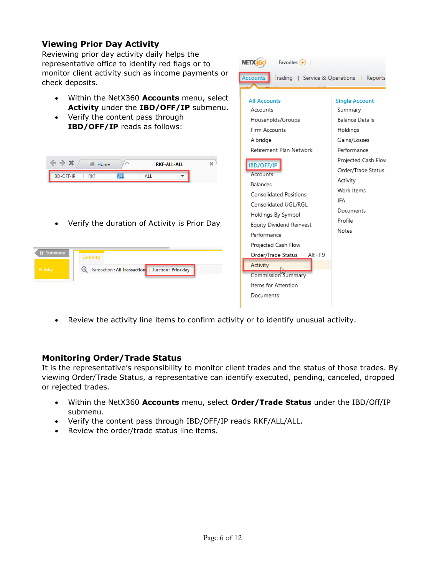## **Viewing Prior Day Activity**

Reviewing prior day activity daily helps the representative office to identify red flags or to monitor client activity such as income payments or check deposits.

- Within the NetX360 **Accounts** menu, select **Activity** under the **IBD/OFF/IP** submenu.
- Verify the content pass through **IBD/OFF/IP** reads as follows:

|                                                                                                                                      | Albridge                                    |  |  |
|--------------------------------------------------------------------------------------------------------------------------------------|---------------------------------------------|--|--|
|                                                                                                                                      | Retirement Plan Network                     |  |  |
| $\leftrightarrow$<br>x<br>20 <sup>o</sup><br>Home<br>⌒<br><b>RKF-ALL-ALL</b><br>IBD-OFF-IP<br><b>ALL</b><br><b>RKF</b><br><b>ALL</b> | <b>IBD/OFF/IP</b><br>Accounts<br>Balances   |  |  |
|                                                                                                                                      | Consolidated Positions                      |  |  |
|                                                                                                                                      | Consolidated UGL/RGL                        |  |  |
|                                                                                                                                      | Holdings By Symbol                          |  |  |
| Verify the duration of Activity is Prior Day<br>٠                                                                                    | Equity Dividend Reinvest                    |  |  |
|                                                                                                                                      | Performance                                 |  |  |
|                                                                                                                                      | Projected Cash Flow                         |  |  |
| : Summary<br><b>Activity</b>                                                                                                         | Order/Trade Status<br>$Alt + F9$            |  |  |
| Transaction : All Transaction:   Duration : Prior day<br>Activity<br>$\circledast$                                                   | Activity<br>Commission <sup>b</sup> Summary |  |  |
|                                                                                                                                      | Items for Attention                         |  |  |
|                                                                                                                                      | Documents                                   |  |  |



#### **Monitoring Order/Trade Status**

It is the representative's responsibility to monitor client trades and the status of those trades. By viewing Order/Trade Status, a representative can identify executed, pending, canceled, dropped or rejected trades.

NETX360

**Accounts** 

**All Accounts** 

Households/Groups

Firm Accounts

Accounts

Favorites  $\bigcirc$  |

Trading | Service & Operations | Reports

**Single Account** 

**Balance Details** 

Gains/Losses

Performance Projected Cash Flow Order/Trade Status

Summary

Holdings

Activity Work Items IFA Documents Profile

Notes

- Within the NetX360 **Accounts** menu, select **Order/Trade Status** under the IBD/Off/IP submenu.
- Verify the content pass through IBD/OFF/IP reads RKF/ALL/ALL.
- Review the order/trade status line items.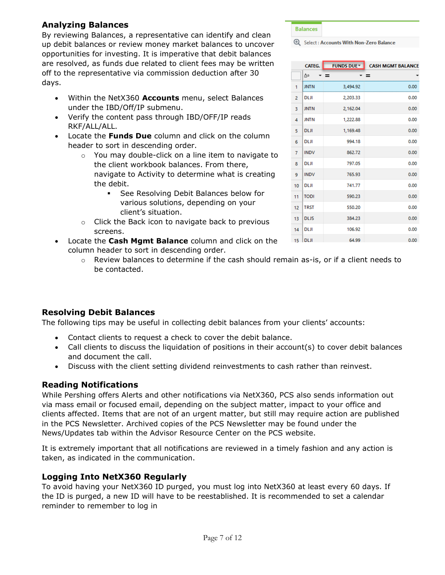#### **Analyzing Balances**

By reviewing Balances, a representative can identify and clean up debit balances or review money market balances to uncover opportunities for investing. It is imperative that debit balances are resolved, as funds due related to client fees may be written off to the representative via commission deduction after 30 days.

- Within the NetX360 **Accounts** menu, select Balances under the IBD/Off/IP submenu.
- Verify the content pass through IBD/OFF/IP reads RKF/ALL/ALL.
- Locate the **Funds Due** column and click on the column header to sort in descending order.
	- o You may double-click on a line item to navigate to the client workbook balances. From there, navigate to Activity to determine what is creating the debit.
		- See Resolving Debit Balances below for various solutions, depending on your client's situation.
	- o Click the Back icon to navigate back to previous screens.
- Locate the **Cash Mgmt Balance** column and click on the column header to sort in descending order.
	- $\circ$  Review balances to determine if the cash should remain as-is, or if a client needs to be contacted.

#### **Resolving Debit Balances**

The following tips may be useful in collecting debit balances from your clients' accounts:

- Contact clients to request a check to cover the debit balance.
- Call clients to discuss the liquidation of positions in their account(s) to cover debit balances and document the call.
- Discuss with the client setting dividend reinvestments to cash rather than reinvest.

#### **Reading Notifications**

While Pershing offers Alerts and other notifications via NetX360, PCS also sends information out via mass email or focused email, depending on the subject matter, impact to your office and clients affected. Items that are not of an urgent matter, but still may require action are published in the PCS Newsletter. Archived copies of the PCS Newsletter may be found under the News/Updates tab within the Advisor Resource Center on the PCS website.

It is extremely important that all notifications are reviewed in a timely fashion and any action is taken, as indicated in the communication.

## **Logging Into NetX360 Regularly**

To avoid having your NetX360 ID purged, you must log into NetX360 at least every 60 days. If the ID is purged, a new ID will have to be reestablished. It is recommended to set a calendar reminder to remember to log in

|   | CATEG.      | <b>FUNDS DUE™</b> | <b>CASH MGMT BALANCE</b> |
|---|-------------|-------------------|--------------------------|
|   | $\Delta a$  | - =<br>- =        |                          |
| 1 | <b>JNTN</b> | 3,494.92          | 0.00                     |
| 2 | <b>DLJI</b> | 2,203.33          | 0.00                     |
| 3 | <b>JNTN</b> | 2,162.04          | 0.00                     |
| 4 | <b>JNTN</b> | 1,222.88          | 0.00                     |
| 5 | <b>DLJI</b> | 1,169.48          | 0.00                     |
| Ŕ | <b>DLJI</b> | 994.18            | 0.00                     |
| 7 | <b>INDV</b> | 862.72            | 0.00                     |

797.05

765.93

741.77

590.23

550.20

384.23

106.92

64.99

 $0.00$ 

 $0.00$ 

 $0.00$ 

 $0.00$ 

 $0.00$ 

 $0.00$ 

 $0.00$ 

 $0.00$ 

Select: Accounts With Non-Zero Balance

**Balances** 

**DLJI** 

**DLJI** 

**TODI** 

**TRST** 

 $\overline{8}$ 

 $\overline{9}$ **INDV** 

 $10$ 

11

 $12<sup>°</sup>$ 13 **DLJS** 

 $14$ **DLJI** 

 $15$  DLJI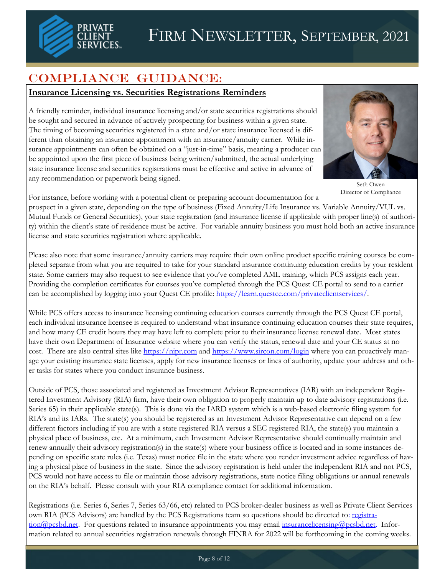

# Compliance Guidance:

#### **Insurance Licensing vs. Securities Registrations Reminders**

A friendly reminder, individual insurance licensing and/or state securities registrations should be sought and secured in advance of actively prospecting for business within a given state. The timing of becoming securities registered in a state and/or state insurance licensed is different than obtaining an insurance appointment with an insurance/annuity carrier. While insurance appointments can often be obtained on a "just-in-time" basis, meaning a producer can be appointed upon the first piece of business being written/submitted, the actual underlying state insurance license and securities registrations must be effective and active in advance of any recommendation or paperwork being signed.



Seth Owen Director of Compliance

For instance, before working with a potential client or preparing account documentation for a

prospect in a given state, depending on the type of business (Fixed Annuity/Life Insurance vs. Variable Annuity/VUL vs. Mutual Funds or General Securities), your state registration (and insurance license if applicable with proper line(s) of authority) within the client's state of residence must be active. For variable annuity business you must hold both an active insurance license and state securities registration where applicable.

Please also note that some insurance/annuity carriers may require their own online product specific training courses be completed separate from what you are required to take for your standard insurance continuing education credits by your resident state. Some carriers may also request to see evidence that you've completed AML training, which PCS assigns each year. Providing the completion certificates for courses you've completed through the PCS Quest CE portal to send to a carrier can be accomplished by logging into your Quest CE profile: [https://learn.questce.com/privateclientservices/.](https://learn.questce.com/privateclientservices/) 

While PCS offers access to insurance licensing continuing education courses currently through the PCS Quest CE portal, each individual insurance licensee is required to understand what insurance continuing education courses their state requires, and how many CE credit hours they may have left to complete prior to their insurance license renewal date. Most states have their own Department of Insurance website where you can verify the status, renewal date and your CE status at no cost. There are also central sites like <https://nipr.com> and<https://www.sircon.com/login> where you can proactively manage your existing insurance state licenses, apply for new insurance licenses or lines of authority, update your address and other tasks for states where you conduct insurance business.

Outside of PCS, those associated and registered as Investment Advisor Representatives (IAR) with an independent Registered Investment Advisory (RIA) firm, have their own obligation to properly maintain up to date advisory registrations (i.e. Series 65) in their applicable state(s). This is done via the IARD system which is a web-based electronic filing system for RIA's and its IARs. The state(s) you should be registered as an Investment Advisor Representative can depend on a few different factors including if you are with a state registered RIA versus a SEC registered RIA, the state(s) you maintain a physical place of business, etc. At a minimum, each Investment Advisor Representative should continually maintain and renew annually their advisory registration(s) in the state(s) where your business office is located and in some instances depending on specific state rules (i.e. Texas) must notice file in the state where you render investment advice regardless of having a physical place of business in the state. Since the advisory registration is held under the independent RIA and not PCS, PCS would not have access to file or maintain those advisory registrations, state notice filing obligations or annual renewals on the RIA's behalf. Please consult with your RIA compliance contact for additional information.

Registrations (i.e. Series 6, Series 7, Series 63/66, etc) related to PCS broker-dealer business as well as Private Client Services own RIA (PCS Advisors) are handled by the PCS Registrations team so questions should be directed to: [registra](mailto:registration@pcsbd.net)[tion@pcsbd.net.](mailto:registration@pcsbd.net) For questions related to insurance appointments you may email [insurancelicensing@pcsbd.net.](mailto:insurancelicensing@pcsbd.net) Information related to annual securities registration renewals through FINRA for 2022 will be forthcoming in the coming weeks.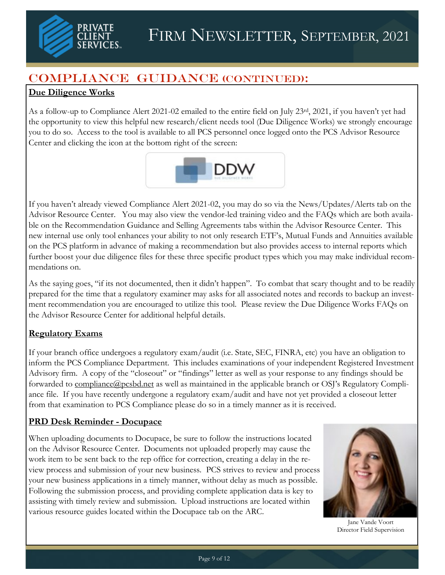

# Compliance Guidance (Continued):

## **Due Diligence Works**

As a follow-up to Compliance Alert 2021-02 emailed to the entire field on July 23rd, 2021, if you haven't yet had the opportunity to view this helpful new research/client needs tool (Due Diligence Works) we strongly encourage you to do so. Access to the tool is available to all PCS personnel once logged onto the PCS Advisor Resource Center and clicking the icon at the bottom right of the screen:



If you haven't already viewed Compliance Alert 2021-02, you may do so via the News/Updates/Alerts tab on the Advisor Resource Center. You may also view the vendor-led training video and the FAQs which are both available on the Recommendation Guidance and Selling Agreements tabs within the Advisor Resource Center. This new internal use only tool enhances your ability to not only research ETF's, Mutual Funds and Annuities available on the PCS platform in advance of making a recommendation but also provides access to internal reports which further boost your due diligence files for these three specific product types which you may make individual recommendations on.

As the saying goes, "if its not documented, then it didn't happen". To combat that scary thought and to be readily prepared for the time that a regulatory examiner may asks for all associated notes and records to backup an investment recommendation you are encouraged to utilize this tool. Please review the Due Diligence Works FAQs on the Advisor Resource Center for additional helpful details.

## **Regulatory Exams**

If your branch office undergoes a regulatory exam/audit (i.e. State, SEC, FINRA, etc) you have an obligation to inform the PCS Compliance Department. This includes examinations of your independent Registered Investment Advisory firm. A copy of the "closeout" or "findings" letter as well as your response to any findings should be forwarded to [compliance@pcsbd.net](mailto:compliance@pcsbd.net) as well as maintained in the applicable branch or OSJ's Regulatory Compliance file. If you have recently undergone a regulatory exam/audit and have not yet provided a closeout letter from that examination to PCS Compliance please do so in a timely manner as it is received.

## **PRD Desk Reminder - Docupace**

When uploading documents to Docupace, be sure to follow the instructions located on the Advisor Resource Center. Documents not uploaded properly may cause the work item to be sent back to the rep office for correction, creating a delay in the review process and submission of your new business. PCS strives to review and process your new business applications in a timely manner, without delay as much as possible. Following the submission process, and providing complete application data is key to assisting with timely review and submission. Upload instructions are located within various resource guides located within the Docupace tab on the ARC.



Jane Vande Voort Director Field Supervision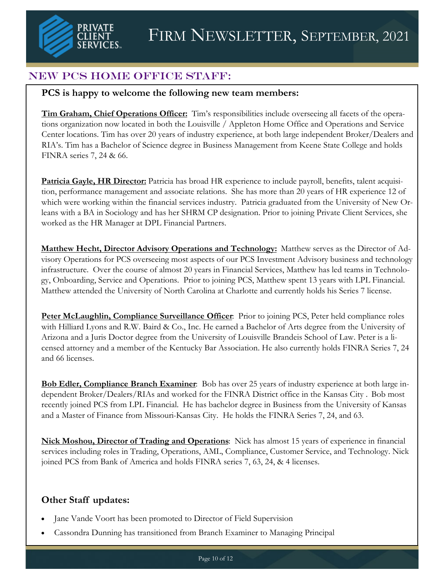

# New PCS Home Office Staff:

## **PCS is happy to welcome the following new team members:**

**Tim Graham, Chief Operations Officer:** Tim's responsibilities include overseeing all facets of the operations organization now located in both the Louisville / Appleton Home Office and Operations and Service Center locations. Tim has over 20 years of industry experience, at both large independent Broker/Dealers and RIA's. Tim has a Bachelor of Science degree in Business Management from Keene State College and holds FINRA series 7, 24 & 66.

**Patricia Gayle, HR Director:** Patricia has broad HR experience to include payroll, benefits, talent acquisition, performance management and associate relations. She has more than 20 years of HR experience 12 of which were working within the financial services industry. Patricia graduated from the University of New Orleans with a BA in Sociology and has her SHRM CP designation. Prior to joining Private Client Services, she worked as the HR Manager at DPL Financial Partners.

**Matthew Hecht, Director Advisory Operations and Technology:** Matthew serves as the Director of Advisory Operations for PCS overseeing most aspects of our PCS Investment Advisory business and technology infrastructure. Over the course of almost 20 years in Financial Services, Matthew has led teams in Technology, Onboarding, Service and Operations. Prior to joining PCS, Matthew spent 13 years with LPL Financial. Matthew attended the University of North Carolina at Charlotte and currently holds his Series 7 license.

**Peter McLaughlin, Compliance Surveillance Officer**: Prior to joining PCS, Peter held compliance roles with Hilliard Lyons and R.W. Baird & Co., Inc. He earned a Bachelor of Arts degree from the University of Arizona and a Juris Doctor degree from the University of Louisville Brandeis School of Law. Peter is a licensed attorney and a member of the Kentucky Bar Association. He also currently holds FINRA Series 7, 24 and 66 licenses.

**Bob Edler, Compliance Branch Examiner**: Bob has over 25 years of industry experience at both large independent Broker/Dealers/RIAs and worked for the FINRA District office in the Kansas City . Bob most recently joined PCS from LPL Financial. He has bachelor degree in Business from the University of Kansas and a Master of Finance from Missouri-Kansas City. He holds the FINRA Series 7, 24, and 63.

**Nick Moshou, Director of Trading and Operations**: Nick has almost 15 years of experience in financial services including roles in Trading, Operations, AML, Compliance, Customer Service, and Technology. Nick joined PCS from Bank of America and holds FINRA series 7, 63, 24, & 4 licenses.

## **Other Staff updates:**

- Jane Vande Voort has been promoted to Director of Field Supervision
- Cassondra Dunning has transitioned from Branch Examiner to Managing Principal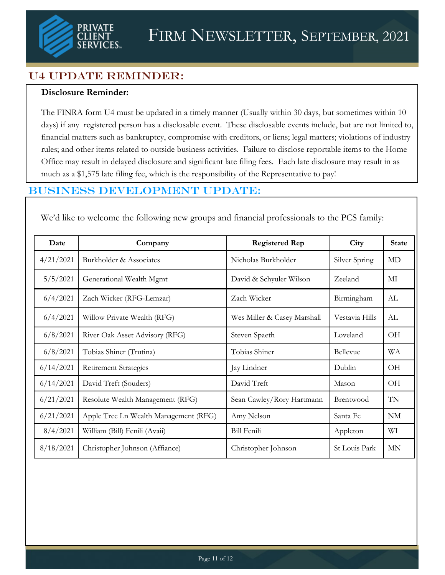

# U4 Update Reminder:

#### **Disclosure Reminder:**

The FINRA form U4 must be updated in a timely manner (Usually within 30 days, but sometimes within 10 days) if any registered person has a disclosable event. These disclosable events include, but are not limited to, financial matters such as bankruptcy, compromise with creditors, or liens; legal matters; violations of industry rules; and other items related to outside business activities. Failure to disclose reportable items to the Home Office may result in delayed disclosure and significant late filing fees. Each late disclosure may result in as much as a \$1,575 late filing fee, which is the responsibility of the Representative to pay!

## Business Development UPDATE:

We'd like to welcome the following new groups and financial professionals to the PCS family:

| Date      | Company                               | <b>Registered Rep</b>       | City           | <b>State</b> |
|-----------|---------------------------------------|-----------------------------|----------------|--------------|
| 4/21/2021 | Burkholder & Associates               | Nicholas Burkholder         | Silver Spring  | MD           |
| 5/5/2021  | Generational Wealth Mgmt              | David & Schyuler Wilson     | Zeeland        | MI           |
| 6/4/2021  | Zach Wicker (RFG-Lemzar)              | Zach Wicker                 | Birmingham     | AL           |
| 6/4/2021  | Willow Private Wealth (RFG)           | Wes Miller & Casey Marshall | Vestavia Hills | AL           |
| 6/8/2021  | River Oak Asset Advisory (RFG)        | Steven Spaeth               | Loveland       | OH           |
| 6/8/2021  | Tobias Shiner (Trutina)               | Tobias Shiner               | Bellevue       | WA           |
| 6/14/2021 | <b>Retirement Strategies</b>          | Jay Lindner                 | Dublin         | OH           |
| 6/14/2021 | David Treft (Souders)                 | David Treft                 | Mason          | OН           |
| 6/21/2021 | Resolute Wealth Management (RFG)      | Sean Cawley/Rory Hartmann   | Brentwood      | TN           |
| 6/21/2021 | Apple Tree Ln Wealth Management (RFG) | Amy Nelson                  | Santa Fe       | NM           |
| 8/4/2021  | William (Bill) Fenili (Avaii)         | <b>Bill Fenili</b>          | Appleton       | WI           |
| 8/18/2021 | Christopher Johnson (Affiance)        | Christopher Johnson         | St Louis Park  | <b>MN</b>    |